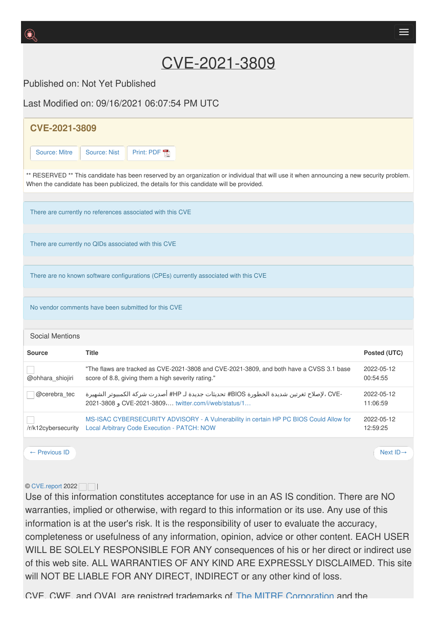## CVE-2021-3809

Published on: Not Yet Published

Last Modified on: 09/16/2021 06:07:54 PM LITC

| <b>CVE-2021-3809</b>                                                                                                                                                                                                                  |                                                                                                                                                 |                                                    |                                                                                          |                        |                        |
|---------------------------------------------------------------------------------------------------------------------------------------------------------------------------------------------------------------------------------------|-------------------------------------------------------------------------------------------------------------------------------------------------|----------------------------------------------------|------------------------------------------------------------------------------------------|------------------------|------------------------|
| Source: Mitre                                                                                                                                                                                                                         | Source: Nist                                                                                                                                    | Print: PDF                                         |                                                                                          |                        |                        |
| ** RESERVED ** This candidate has been reserved by an organization or individual that will use it when announcing a new security problem.<br>When the candidate has been publicized, the details for this candidate will be provided. |                                                                                                                                                 |                                                    |                                                                                          |                        |                        |
| There are currently no references associated with this CVE                                                                                                                                                                            |                                                                                                                                                 |                                                    |                                                                                          |                        |                        |
| There are currently no QIDs associated with this CVE                                                                                                                                                                                  |                                                                                                                                                 |                                                    |                                                                                          |                        |                        |
| There are no known software configurations (CPEs) currently associated with this CVE                                                                                                                                                  |                                                                                                                                                 |                                                    |                                                                                          |                        |                        |
| No vendor comments have been submitted for this CVE                                                                                                                                                                                   |                                                                                                                                                 |                                                    |                                                                                          |                        |                        |
| <b>Social Mentions</b>                                                                                                                                                                                                                |                                                                                                                                                 |                                                    |                                                                                          |                        |                        |
| <b>Source</b>                                                                                                                                                                                                                         | <b>Title</b>                                                                                                                                    |                                                    |                                                                                          |                        | Posted (UTC)           |
| @ohhara_shiojiri                                                                                                                                                                                                                      |                                                                                                                                                 | score of 8.8, giving them a high severity rating." | "The flaws are tracked as CVE-2021-3808 and CVE-2021-3809, and both have a CVSS 3.1 base |                        | 2022-05-12<br>00:54:55 |
| @cerebra_tec                                                                                                                                                                                                                          | -CVE ، لإصلاح ثغرتين شديدة الخطورة BIOS# تحديثات جديدة لـ HP# أصدرت شركة الكمبيوتر الشهيرة<br>2021-3808  twitter.com/i/web/status/1 و 2021-3808 |                                                    |                                                                                          | 2022-05-12<br>11:06:59 |                        |
| /r/k12cybersecurity                                                                                                                                                                                                                   | MS-ISAC CYBERSECURITY ADVISORY - A Vulnerability in certain HP PC BIOS Could Allow for<br>Local Arbitrary Code Execution - PATCH: NOW           |                                                    |                                                                                          | 2022-05-12<br>12:59:25 |                        |
| $\leftarrow$ Previous ID                                                                                                                                                                                                              |                                                                                                                                                 |                                                    |                                                                                          |                        | Next $ID \rightarrow$  |

## © [CVE.report](https://cve.report/) 2022

Use of this information constitutes acceptance for use in an AS IS condition. There are NO warranties, implied or otherwise, with regard to this information or its use. Any use of this information is at the user's risk. It is the responsibility of user to evaluate the accuracy, completeness or usefulness of any information, opinion, advice or other content. EACH USER WILL BE SOLELY RESPONSIBLE FOR ANY consequences of his or her direct or indirect use of this web site. ALL WARRANTIES OF ANY KIND ARE EXPRESSLY DISCLAIMED. This site will NOT BE LIABLE FOR ANY DIRECT, INDIRECT or any other kind of loss.

CVE, CWE, and OVAL are registred trademarks of The MITRE [Corporation](https://uspto.report/company/Mitre-Corp) and the